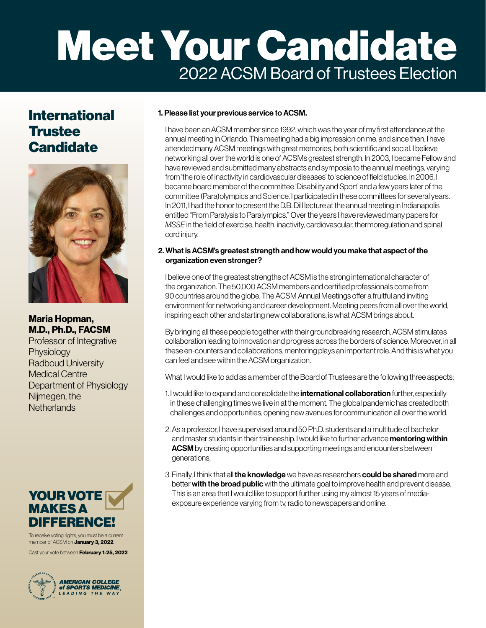# Meet Your Candidate 2022 ACSM Board of Trustees Election

# International **Trustee Candidate**



Maria Hopman, M.D., Ph.D., FACSM

Professor of Integrative **Physiology** Radboud University Medical Centre Department of Physiology Nijmegen, the **Netherlands** 



To receive voting rights, you must be a current member of ACSM on **January 3, 2022**.

Cast your vote between February 1-25, 2022.



## 1. Please list your previous service to ACSM.

I have been an ACSM member since 1992, which was the year of my first attendance at the annual meeting in Orlando. This meeting had a big impression on me, and since then, I have attended many ACSM meetings with great memories, both scientific and social. I believe networking all over the world is one of ACSMs greatest strength. In 2003, I became Fellow and have reviewed and submitted many abstracts and symposia to the annual meetings, varying from 'the role of inactivity in cardiovascular diseases' to 'science of field studies. In 2006, I became board member of the committee 'Disability and Sport' and a few years later of the committee (Para)olympics and Science. I participated in these committees for several years. In 2011, I had the honor to present the D.B. Dill lecture at the annual meeting in Indianapolis entitled "From Paralysis to Paralympics." Over the years I have reviewed many papers for *MSSE* in the field of exercise, health, inactivity, cardiovascular, thermoregulation and spinal cord injury.

#### 2. What is ACSM's greatest strength and how would you make that aspect of the organization even stronger?

I believe one of the greatest strengths of ACSM is the strong international character of the organization. The 50,000 ACSM members and certified professionals come from 90 countries around the globe. The ACSM Annual Meetings offer a fruitful and inviting environment for networking and career development. Meeting peers from all over the world, inspiring each other and starting new collaborations, is what ACSM brings about.

By bringing all these people together with their groundbreaking research, ACSM stimulates collaboration leading to innovation and progress across the borders of science. Moreover, in all these en-counters and collaborations, mentoring plays an important role. And this is what you can feel and see within the ACSM organization.

What I would like to add as a member of the Board of Trustees are the following three aspects:

- 1. I would like to expand and consolidate the *international collaboration* further, especially in these challenging times we live in at the moment. The global pandemic has created both challenges and opportunities, opening new avenues for communication all over the world.
- 2. As a professor, I have supervised around 50 Ph.D. students and a multitude of bachelor and master students in their traineeship. I would like to further advance mentoring within ACSM by creating opportunities and supporting meetings and encounters between generations.
- 3. Finally, I think that all the knowledge we have as researchers could be shared more and better with the broad public with the ultimate goal to improve health and prevent disease. This is an area that I would like to support further using my almost 15 years of mediaexposure experience varying from tv, radio to newspapers and online.